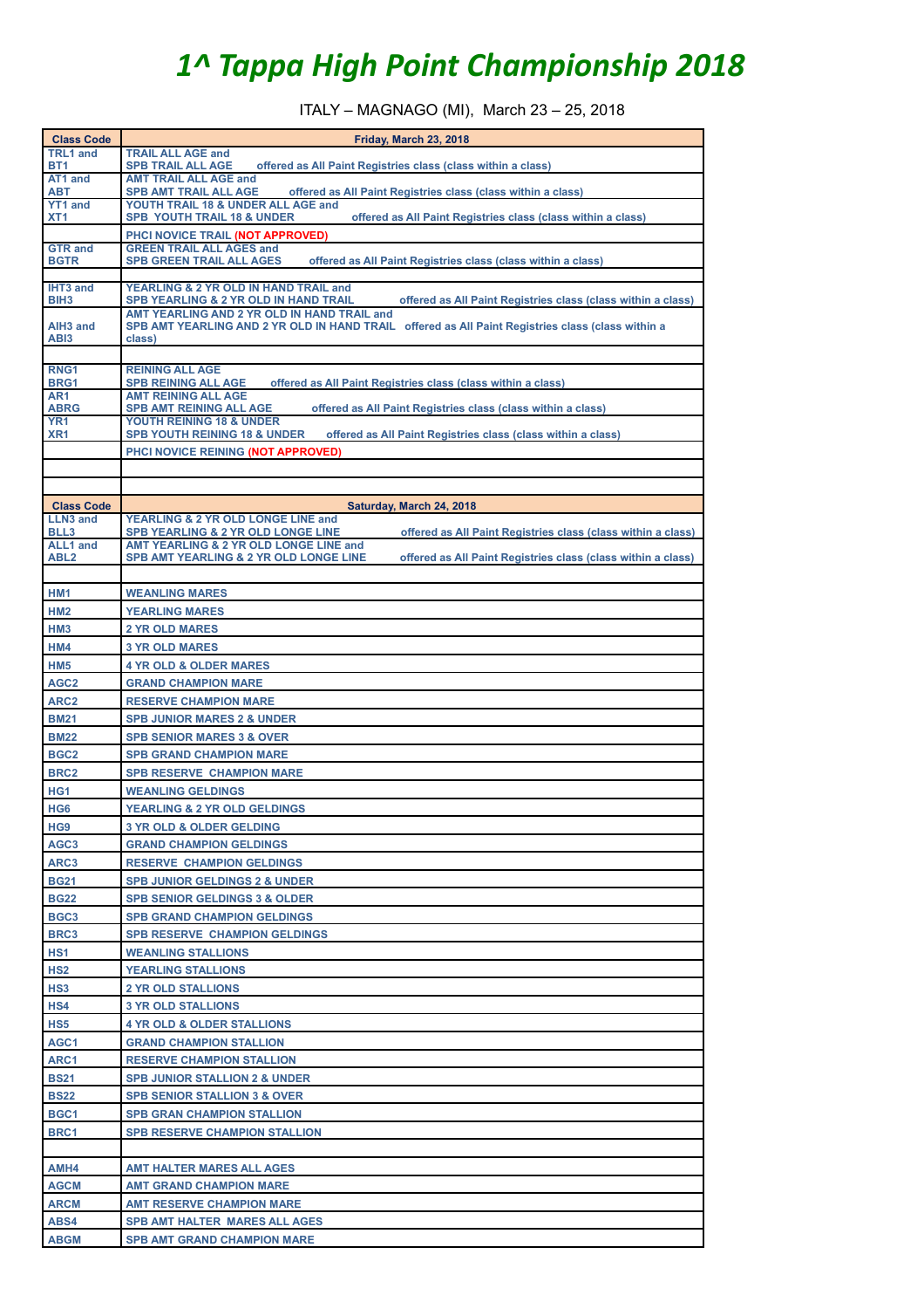## *1^ Tappa High Point Championship 2018*

ITALY – MAGNAGO (MI), March 23 – 25, 2018

| <b>Class Code</b>                   | Friday, March 23, 2018                                                                                                                                    |
|-------------------------------------|-----------------------------------------------------------------------------------------------------------------------------------------------------------|
| <b>TRL1 and</b>                     | <b>TRAIL ALL AGE and</b>                                                                                                                                  |
| BT1<br>AT1 and                      | offered as All Paint Registries class (class within a class)<br><b>SPB TRAIL ALL AGE</b>                                                                  |
| ABT                                 | <b>AMT TRAIL ALL AGE and</b><br><b>SPB AMT TRAIL ALL AGE</b><br>offered as All Paint Registries class (class within a class)                              |
| <b>YT1 and</b>                      | YOUTH TRAIL 18 & UNDER ALL AGE and                                                                                                                        |
| XT <sub>1</sub>                     | <b>SPB YOUTH TRAIL 18 &amp; UNDER</b><br>offered as All Paint Registries class (class within a class)                                                     |
| <b>GTR and</b>                      | PHCI NOVICE TRAIL (NOT APPROVED)<br><b>GREEN TRAIL ALL AGES and</b>                                                                                       |
| <b>BGTR</b>                         | <b>SPB GREEN TRAIL ALL AGES</b><br>offered as All Paint Registries class (class within a class)                                                           |
|                                     |                                                                                                                                                           |
| <b>IHT3 and</b><br>BIH <sub>3</sub> | YEARLING & 2 YR OLD IN HAND TRAIL and<br>offered as All Paint Registries class (class within a class)<br><b>SPB YEARLING &amp; 2 YR OLD IN HAND TRAIL</b> |
|                                     | AMT YEARLING AND 2 YR OLD IN HAND TRAIL and                                                                                                               |
| AIH <sub>3</sub> and                | SPB AMT YEARLING AND 2 YR OLD IN HAND TRAIL offered as All Paint Registries class (class within a                                                         |
| ABI3                                | class)                                                                                                                                                    |
| RNG <sub>1</sub>                    | <b>REINING ALL AGE</b>                                                                                                                                    |
| <b>BRG1</b>                         | <b>SPB REINING ALL AGE</b><br>offered as All Paint Registries class (class within a class)                                                                |
| AR1<br><b>ABRG</b>                  | <b>AMT REINING ALL AGE</b><br>offered as All Paint Registries class (class within a class)<br><b>SPB AMT REINING ALL AGE</b>                              |
| YR <sub>1</sub>                     | YOUTH REINING 18 & UNDER                                                                                                                                  |
| XR <sub>1</sub>                     | <b>SPB YOUTH REINING 18 &amp; UNDER</b><br>offered as All Paint Registries class (class within a class)                                                   |
|                                     | PHCI NOVICE REINING (NOT APPROVED)                                                                                                                        |
|                                     |                                                                                                                                                           |
|                                     |                                                                                                                                                           |
| <b>Class Code</b>                   | Saturday, March 24, 2018<br>YEARLING & 2 YR OLD LONGE LINE and                                                                                            |
| <b>LLN3 and</b><br>BLL3             | offered as All Paint Registries class (class within a class)<br><b>SPB YEARLING &amp; 2 YR OLD LONGE LINE</b>                                             |
| ALL1 and                            | AMT YEARLING & 2 YR OLD LONGE LINE and                                                                                                                    |
| ABL <sub>2</sub>                    | <b>SPB AMT YEARLING &amp; 2 YR OLD LONGE LINE</b><br>offered as All Paint Registries class (class within a class)                                         |
|                                     |                                                                                                                                                           |
| HM1                                 | <b>WEANLING MARES</b>                                                                                                                                     |
| HM <sub>2</sub>                     | <b>YEARLING MARES</b>                                                                                                                                     |
| HM <sub>3</sub>                     | <b>2 YR OLD MARES</b>                                                                                                                                     |
| HM4                                 | <b>3 YR OLD MARES</b>                                                                                                                                     |
| HM <sub>5</sub>                     | <b>4 YR OLD &amp; OLDER MARES</b>                                                                                                                         |
| AGC <sub>2</sub>                    | <b>GRAND CHAMPION MARE</b>                                                                                                                                |
| ARC <sub>2</sub>                    | <b>RESERVE CHAMPION MARE</b>                                                                                                                              |
| <b>BM21</b>                         | <b>SPB JUNIOR MARES 2 &amp; UNDER</b>                                                                                                                     |
| <b>BM22</b>                         | <b>SPB SENIOR MARES 3 &amp; OVER</b>                                                                                                                      |
| BGC <sub>2</sub>                    | <b>SPB GRAND CHAMPION MARE</b>                                                                                                                            |
| BRC <sub>2</sub>                    | <b>SPB RESERVE CHAMPION MARE</b>                                                                                                                          |
| HG <sub>1</sub>                     | <b>WEANLING GELDINGS</b>                                                                                                                                  |
| HG <sub>6</sub>                     | YEARLING & 2 YR OLD GELDINGS                                                                                                                              |
| HG <sub>9</sub>                     | <b>3 YR OLD &amp; OLDER GELDING</b>                                                                                                                       |
| AGC <sub>3</sub>                    | <b>GRAND CHAMPION GELDINGS</b>                                                                                                                            |
| ARC3                                | <b>RESERVE CHAMPION GELDINGS</b>                                                                                                                          |
| <b>BG21</b>                         | <b>SPB JUNIOR GELDINGS 2 &amp; UNDER</b>                                                                                                                  |
| <b>BG22</b>                         | <b>SPB SENIOR GELDINGS 3 &amp; OLDER</b>                                                                                                                  |
| BGC <sub>3</sub>                    | <b>SPB GRAND CHAMPION GELDINGS</b>                                                                                                                        |
| BRC3                                | <b>SPB RESERVE CHAMPION GELDINGS</b>                                                                                                                      |
| HS <sub>1</sub><br>HS <sub>2</sub>  | <b>WEANLING STALLIONS</b><br><b>YEARLING STALLIONS</b>                                                                                                    |
| HS <sub>3</sub>                     |                                                                                                                                                           |
| HS4                                 | <b>2 YR OLD STALLIONS</b><br><b>3 YR OLD STALLIONS</b>                                                                                                    |
| HS5                                 | <b>4 YR OLD &amp; OLDER STALLIONS</b>                                                                                                                     |
| AGC1                                | <b>GRAND CHAMPION STALLION</b>                                                                                                                            |
| ARC1                                | <b>RESERVE CHAMPION STALLION</b>                                                                                                                          |
| <b>BS21</b>                         | <b>SPB JUNIOR STALLION 2 &amp; UNDER</b>                                                                                                                  |
| <b>BS22</b>                         | <b>SPB SENIOR STALLION 3 &amp; OVER</b>                                                                                                                   |
| BGC1                                | <b>SPB GRAN CHAMPION STALLION</b>                                                                                                                         |
| BRC1                                | <b>SPB RESERVE CHAMPION STALLION</b>                                                                                                                      |
|                                     |                                                                                                                                                           |
| AMH4                                | <b>AMT HALTER MARES ALL AGES</b>                                                                                                                          |
| <b>AGCM</b>                         | <b>AMT GRAND CHAMPION MARE</b>                                                                                                                            |
| <b>ARCM</b>                         | <b>AMT RESERVE CHAMPION MARE</b>                                                                                                                          |
| <b>ABS4</b>                         | <b>SPB AMT HALTER MARES ALL AGES</b>                                                                                                                      |
| <b>ABGM</b>                         | <b>SPB AMT GRAND CHAMPION MARE</b>                                                                                                                        |